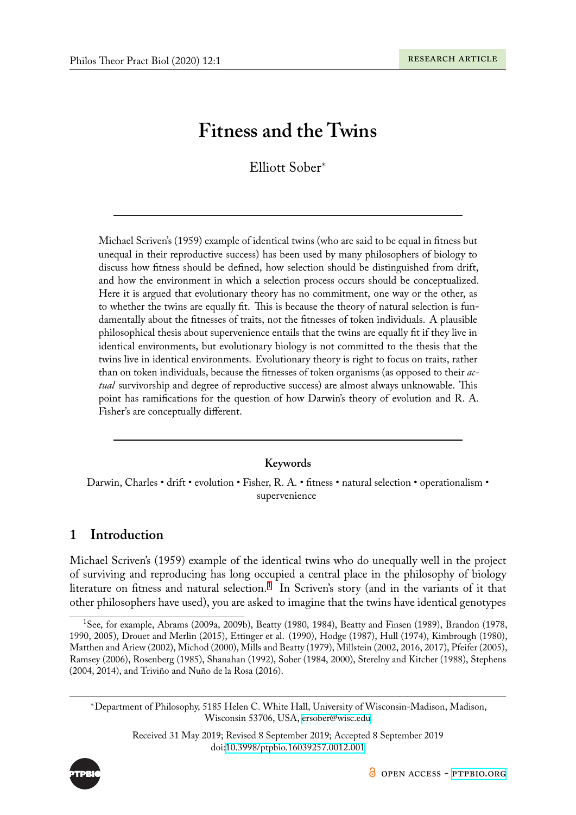# **Fitness and the Twins**

Elliott Sober*<sup>∗</sup>*

Michael Scriven's (1959) example of identical twins (who are said to be equal in fitness but unequal in their reproductive success) has been used by many philosophers of biology to discuss how fitness should be defined, how selection should be distinguished from drift, and how the environment in which a selection process occurs should be conceptualized. Here it is argued that evolutionary theory has no commitment, one way or the other, as to whether the twins are equally fit. This is because the theory of natural selection is fundamentally about the fitnesses of traits, not the fitnesses of token individuals. A plausible philosophical thesis about supervenience entails that the twins are equally fit if they live in identical environments, but evolutionary biology is not committed to the thesis that the twins live in identical environments. Evolutionary theory is right to focus on traits, rather than on token individuals, because the fitnesses of token organisms (as opposed to their *actual* survivorship and degree of reproductive success) are almost always unknowable. This point has ramifications for the question of how Darwin's theory of evolution and R. A. Fisher's are conceptually different.

### **Keywords**

Darwin, Charles • drift • evolution • Fisher, R. A. • fitness • natural selection • operationalism • supervenience

## **1 Introduction**

Michael Scriven's (1959) example of the identical twins who do unequally well in the project of surviving and reproducing has long occupied a central place in the philosophy of biology literature on fitness and natural selection. $^1\,$  In Scriven's story (and in the variants of it that other philosophers have used), you are asked to imagine that the twins have identical genotypes

<span id="page-0-0"></span>*<sup>∗</sup>*Department of Philosophy, 5185 Helen C. White Hall, University of Wisconsin-Madison, Madison, Wisconsin 53706, USA, ersober@wisc.edu

> Received 31 May 2019; Revised 8 September 2019; Accepted 8 September 2019 doi:10.3998/ptpbio.16039257.0012.001



<sup>1</sup>See, for example, Abrams (2009a, 2009b), Beatty (1980, 1984), Beatty and Finsen (1989), Brandon (1978, 1990, 2005), Drouet and Merlin (2015), Ettinger [et](#page-0-0) al. (1990), Hodge (1987), Hull (1974), Kimbrough (1980), Matthen and Ariew (2002), Michod (2000), Mills and Beatty (1979), Millstein (2002, 2016, 2017), Pfeifer (2005), Ramsey (2006), Rosenberg (1985), Shanahan (1992), Sober (1984, 2000), Sterelny and Kitcher (1988), Stephens (2004, 2014), and Triviño and Nuño de la Rosa (2016).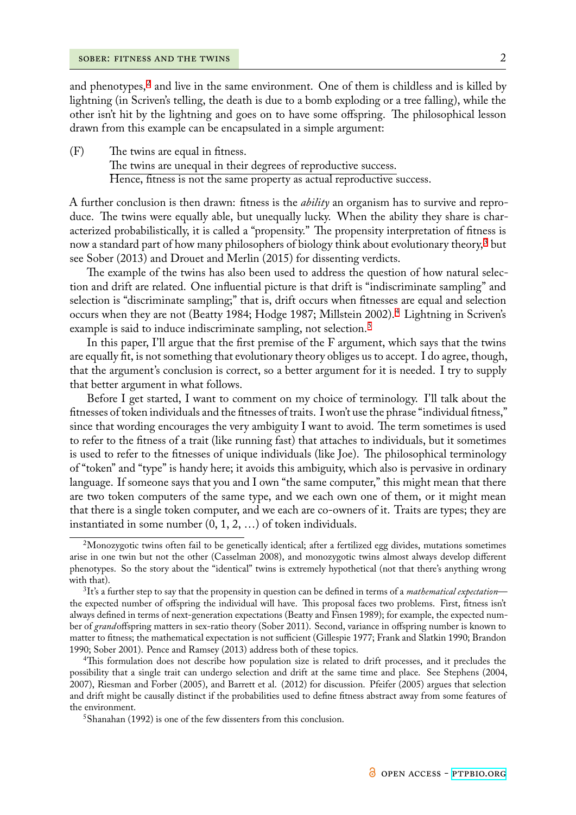and phenotypes, $^2$  and live in the same environment. One of them is childless and is killed by lightning (in Scriven's telling, the death is due to a bomb exploding or a tree falling), while the other isn't hit by the lightning and goes on to have some offspring. The philosophical lesson drawn from this [e](#page-1-0)xample can be encapsulated in a simple argument:

(F) The twins are equal in fitness. The twins are unequal in their degrees of reproductive success. Hence, fitness is not the same property as actual reproductive success.

A further conclusion is then drawn: fitness is the *ability* an organism has to survive and reproduce. The twins were equally able, but unequally lucky. When the ability they share is characterized probabilistically, it is called a "propensity." The propensity interpretation of fitness is now a standard part of how many philosophers of biology think about evolutionary theory,<sup>3</sup> but see Sober (2013) and Drouet and Merlin (2015) for dissenting verdicts.

The example of the twins has also been used to address the question of how natural selection and drift are related. One influential picture is that drift is "indiscriminate sampling["](#page-1-1) and selection is "discriminate sampling;" that is, drift occurs when fitnesses are equal and selection occurs when they are not (Beatty 1984; Hodge 1987; Millstein 2002).<sup>4</sup> Lightning in Scriven's example is said to induce indiscriminate sampling, not selection.<sup>5</sup>

In this paper, I'll argue that the first premise of the F argument, which says that the twins are equally fit, is not something that evolutionary theory obliges us to ac[c](#page-1-2)ept. I do agree, though, that the argument's conclusion is correct, so a better argumentf[o](#page-1-3)r it is needed. I try to supply that better argument in what follows.

Before I get started, I want to comment on my choice of terminology. I'll talk about the fitnesses of token individuals and the fitnesses of traits. I won't use the phrase "individual fitness," since that wording encourages the very ambiguity I want to avoid. The term sometimes is used to refer to the fitness of a trait (like running fast) that attaches to individuals, but it sometimes is used to refer to the fitnesses of unique individuals (like Joe). The philosophical terminology of "token" and "type" is handy here; it avoids this ambiguity, which also is pervasive in ordinary language. If someone says that you and I own "the same computer," this might mean that there are two token computers of the same type, and we each own one of them, or it might mean that there is a single token computer, and we each are co-owners of it. Traits are types; they are instantiated in some number (0, 1, 2, …) of token individuals.

<sup>&</sup>lt;sup>2</sup>Monozygotic twins often fail to be genetically identical; after a fertilized egg divides, mutations sometimes arise in one twin but not the other (Casselman 2008), and monozygotic twins almost always develop different phenotypes. So the story about the "identical" twins is extremely hypothetical (not that there's anything wrong with that).

<span id="page-1-0"></span><sup>3</sup> It's a further step to say that the propensity in question can be defined in terms of a *mathematical expectation* the expected number of offspring the individual will have. This proposal faces two problems. First, fitness isn't always defined in terms of next-generation expectations (Beatty and Finsen 1989); for example, the expected number of *grand*offspring matters in sex-ratio theory (Sober 2011). Second, variance in offspring number is known to matter to fitness; the mathematical expectation is not sufficient (Gillespie 1977; Frank and Slatkin 1990; Brandon 1990; Sober 2001). Pence and Ramsey (2013) address both of these topics.

<span id="page-1-1"></span><sup>&</sup>lt;sup>4</sup>This formulation does not describe how population size is related to drift processes, and it precludes the possibility that a single trait can undergo selection and drift at the same time and place. See Stephens (2004, 2007), Riesman and Forber (2005), and Barrett et al. (2012) for discussion. Pfeifer (2005) argues that selection and drift might be causally distinct if the probabilities used to define fitness abstract away from some features of the environment.

<span id="page-1-3"></span><span id="page-1-2"></span> $5$ Shanahan (1992) is one of the few dissenters from this conclusion.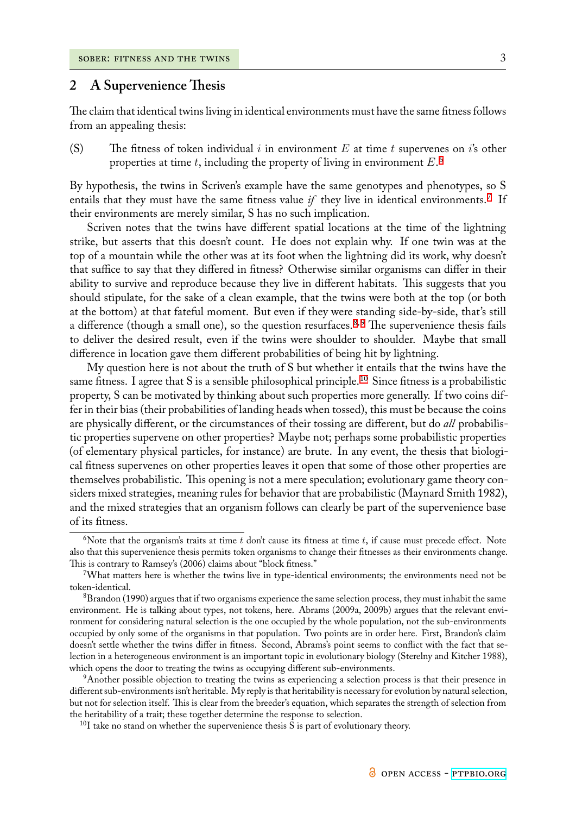## **2 A Supervenience Thesis**

The claim that identical twins living in identical environments must have the same fitness follows from an appealing thesis:

(S) The fitness of token individual *i* in environment *E* at time *t* supervenes on *i*'s other properties at time *t*, including the property of living in environment *E*. 6

By hypothesis, the twins in Scriven's example have the same genotypes and phenotypes, so S entails that they must have the same fitness value  $if$  they live in identical env[ir](#page-2-0)onments.<sup>7</sup> If their environments are merely similar, S has no such implication.

Scriven notes that the twins have different spatial locations at the time of the lightning strike, but asserts that this doesn't count. He does not explain why. If one twin was at [t](#page-2-1)he top of a mountain while the other was at its foot when the lightning did its work, why doesn't that suffice to say that they differed in fitness? Otherwise similar organisms can differ in their ability to survive and reproduce because they live in different habitats. This suggests that you should stipulate, for the sake of a clean example, that the twins were both at the top (or both at the bottom) at that fateful moment. But even if they were standing side-by-side, that's still a difference (though a small one), so the question resurfaces.<sup>8,9</sup> The supervenience thesis fails to deliver the desired result, even if the twins were shoulder to shoulder. Maybe that small difference in location gave them different probabilities of being hit by lightning.

My question here is not about the truth of S but whethe[r](#page-2-2)[i](#page-2-2)[t](#page-2-3) entails that the twins have the same fitness. I agree that S is a sensible philosophical principle.<sup>10</sup> Since fitness is a probabilistic property, S can be motivated by thinking about such properties more generally. If two coins differ in their bias (their probabilities of landing heads when tossed), this must be because the coins are physically different, or the circumstances of their tossing ar[e d](#page-2-4)ifferent, but do *all* probabilistic properties supervene on other properties? Maybe not; perhaps some probabilistic properties (of elementary physical particles, for instance) are brute. In any event, the thesis that biological fitness supervenes on other properties leaves it open that some of those other properties are themselves probabilistic. This opening is not a mere speculation; evolutionary game theory considers mixed strategies, meaning rules for behavior that are probabilistic (Maynard Smith 1982), and the mixed strategies that an organism follows can clearly be part of the supervenience base of its fitness.

<sup>&</sup>lt;sup>6</sup>Note that the organism's traits at time  $t$  don't cause its fitness at time  $t$ , if cause must precede effect. Note also that this supervenience thesis permits token organisms to change their fitnesses as their environments change. This is contrary to Ramsey's (2006) claims about "block fitness."

<span id="page-2-0"></span><sup>7</sup>What matters here is whether the twins live in type-identical environments; the environments need not be token-identical.

<span id="page-2-1"></span> $8B$ randon (1990) argues that if two organisms experience the same selection process, they must inhabit the same environment. He is talking about types, not tokens, here. Abrams (2009a, 2009b) argues that the relevant environment for considering natural selection is the one occupied by the whole population, not the sub-environments occupied by only some of the organisms in that population. Two points are in order here. First, Brandon's claim doesn't settle whether the twins differ in fitness. Second, Abrams's point seems to conflict with the fact that selection in a heterogeneous environment is an important topic in evolutionary biology (Sterelny and Kitcher 1988), which opens the door to treating the twins as occupying different sub-environments.

<span id="page-2-2"></span><sup>9</sup>Another possible objection to treating the twins as experiencing a selection process is that their presence in different sub-environments isn't heritable. My reply is that heritability is necessary for evolution by natural selection, but not for selection itself. This is clear from the breeder's equation, which separates the strength of selection from the heritability of a trait; these together determine the response to selection.

<span id="page-2-4"></span><span id="page-2-3"></span> $10I$  take no stand on whether the supervenience thesis S is part of evolutionary theory.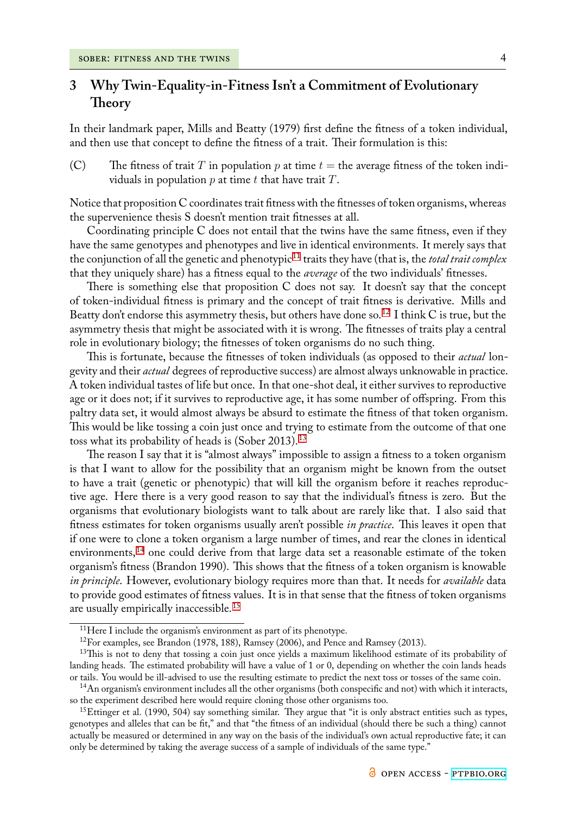# **3 Why Twin-Equality-in-Fitness Isn't a Commitment of Evolutionary Theory**

In their landmark paper, Mills and Beatty (1979) first define the fitness of a token individual, and then use that concept to define the fitness of a trait. Their formulation is this:

(C) The fitness of trait *T* in population *p* at time  $t =$  the average fitness of the token individuals in population *p* at time *t* that have trait *T*.

Notice that proposition C coordinates trait fitness with the fitnesses of token organisms, whereas the supervenience thesis S doesn't mention trait fitnesses at all.

Coordinating principle C does not entail that the twins have the same fitness, even if they have the same genotypes and phenotypes and live in identical environments. It merely says that the conjunction of all the genetic and phenotypic<sup>11</sup> traits they have (that is, the *total trait complex* that they uniquely share) has a fitness equal to the *average* of the two individuals' fitnesses.

There is something else that proposition C does not say. It doesn't say that the concept of token-individual fitness is primary and the c[on](#page-3-0)cept of trait fitness is derivative. Mills and Beatty don't endorse this asymmetry thesis, but others have done so.<sup>12</sup> I think C is true, but the asymmetry thesis that might be associated with it is wrong. The fitnesses of traits play a central role in evolutionary biology; the fitnesses of token organisms do no such thing.

This is fortunate, because the fitnesses of token individuals (as [op](#page-3-1)posed to their *actual* longevity and their *actual* degrees of reproductive success) are almost always unknowable in practice. A token individual tastes of life but once. In that one-shot deal, it either survives to reproductive age or it does not; if it survives to reproductive age, it has some number of offspring. From this paltry data set, it would almost always be absurd to estimate the fitness of that token organism. This would be like tossing a coin just once and trying to estimate from the outcome of that one toss what its probability of heads is (Sober 2013).<sup>13</sup>

The reason I say that it is "almost always" impossible to assign a fitness to a token organism is that I want to allow for the possibility that an organism might be known from the outset to have a trait (genetic or phenotypic) that will [kil](#page-3-2)l the organism before it reaches reproductive age. Here there is a very good reason to say that the individual's fitness is zero. But the organisms that evolutionary biologists want to talk about are rarely like that. I also said that fitness estimates for token organisms usually aren't possible *in practice*. This leaves it open that if one were to clone a token organism a large number of times, and rear the clones in identical environments,<sup>14</sup> one could derive from that large data set a reasonable estimate of the token organism's fitness (Brandon 1990). This shows that the fitness of a token organism is knowable *in principle*. However, evolutionary biology requires more than that. It needs for *available* data to provide goo[d](#page-3-3) estimates of fitness values. It is in that sense that the fitness of token organisms are usually empirically inaccessible.<sup>15</sup>

<sup>11</sup>Here I include the organism's environment as part of its phenotype.

<sup>12</sup>For examples, see Brandon (1978, 188), Ramsey (2006), and Pence and Ramsey (2013).

<sup>&</sup>lt;sup>13</sup>This is [n](#page-3-4)ot to deny that tossing a coin just once yields a maximum likelihood estimate of its probability of landing heads. The estimated probability will have a value of 1 or 0, depending on whether the coin lands heads or tails. You would be ill-advised to use the resulting estimate to predict the next toss or tosses of the same coin.

<span id="page-3-2"></span><span id="page-3-1"></span><span id="page-3-0"></span> $14$ An organism's environment includes all the other organisms (both conspecific and not) with which it interacts, so the experiment described here would require cloning those other organisms too.

<span id="page-3-4"></span><span id="page-3-3"></span><sup>&</sup>lt;sup>15</sup>Ettinger et al. (1990, 504) say something similar. They argue that "it is only abstract entities such as types, genotypes and alleles that can be fit," and that "the fitness of an individual (should there be such a thing) cannot actually be measured or determined in any way on the basis of the individual's own actual reproductive fate; it can only be determined by taking the average success of a sample of individuals of the same type."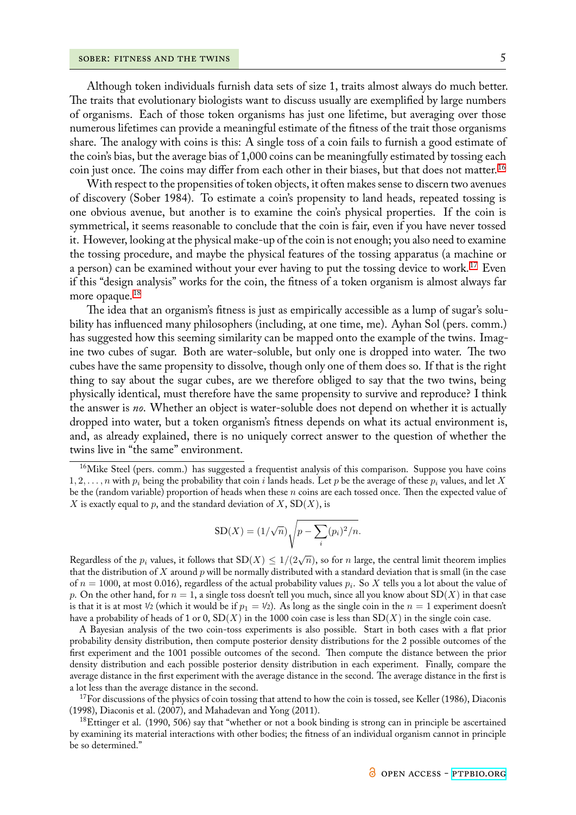Although token individuals furnish data sets of size 1, traits almost always do much better. The traits that evolutionary biologists want to discuss usually are exemplified by large numbers of organisms. Each of those token organisms has just one lifetime, but averaging over those numerous lifetimes can provide a meaningful estimate of the fitness of the trait those organisms share. The analogy with coins is this: A single toss of a coin fails to furnish a good estimate of the coin's bias, but the average bias of 1,000 coins can be meaningfully estimated by tossing each coin just once. The coins may differ from each other in their biases, but that does not matter.<sup>16</sup>

With respect to the propensities of token objects, it often makes sense to discern two avenues of discovery (Sober 1984). To estimate a coin's propensity to land heads, repeated tossing is one obvious avenue, but another is to examine the coin's physical properties. If the coin [is](#page-4-0) symmetrical, it seems reasonable to conclude that the coin is fair, even if you have never tossed it. However, looking at the physical make-up of the coin is not enough; you also need to examine the tossing procedure, and maybe the physical features of the tossing apparatus (a machine or a person) can be examined without your ever having to put the tossing device to work.<sup>17</sup> Even if this "design analysis" works for the coin, the fitness of a token organism is almost always far more opaque.<sup>18</sup>

The idea that an organism's fitness is just as empirically accessible as a lump of sug[ar'](#page-4-1)s solubility has influenced many philosophers (including, at one time, me). Ayhan Sol (pers. comm.) has suggested [h](#page-4-2)ow this seeming similarity can be mapped onto the example of the twins. Imagine two cubes of sugar. Both are water-soluble, but only one is dropped into water. The two cubes have the same propensity to dissolve, though only one of them does so. If that is the right thing to say about the sugar cubes, are we therefore obliged to say that the two twins, being physically identical, must therefore have the same propensity to survive and reproduce? I think the answer is *no*. Whether an object is water-soluble does not depend on whether it is actually dropped into water, but a token organism's fitness depends on what its actual environment is, and, as already explained, there is no uniquely correct answer to the question of whether the twins live in "the same" environment.

$$
SD(X) = (1/\sqrt{n})\sqrt{p - \sum_{i} (p_i)^2/n}.
$$

<span id="page-4-0"></span>Regardless of the  $p_i$  values, it follows that  $SD(X) \leq 1/(2\sqrt{n})$ , so for *n* large, the central limit theorem implies that the distribution of *X* around *p* will be normally distributed with a standard deviation that is small (in the case of  $n=1000$ , at most 0.016), regardless of the actual probability values  $p_i.$  So  $X$  tells you a lot about the value of *p*. On the other hand, for *n* = 1, a single toss doesn't tell you much, since all you know about SD(*X*) in that case is that it is at most  $\frac{1}{2}$  (which it would be if  $p_1 = \frac{1}{2}$ ). As long as the single coin in the  $n = 1$  experiment doesn't have a probability of heads of 1 or 0, SD(*X*) in the 1000 coin case is less than SD(*X*) in the single coin case.

A Bayesian analysis of the two coin-toss experiments is also possible. Start in both cases with a flat prior probability density distribution, then compute posterior density distributions for the 2 possible outcomes of the first experiment and the 1001 possible outcomes of the second. Then compute the distance between the prior density distribution and each possible posterior density distribution in each experiment. Finally, compare the average distance in the first experiment with the average distance in the second. The average distance in the first is a lot less than the average distance in the second.

 $17$ For discussions of the physics of coin tossing that attend to how the coin is tossed, see Keller (1986), Diaconis (1998), Diaconis et al. (2007), and Mahadevan and Yong (2011).

<span id="page-4-2"></span><span id="page-4-1"></span><sup>18</sup>Ettinger et al. (1990, 506) say that "whether or not a book binding is strong can in principle be ascertained by examining its material interactions with other bodies; the fitness of an individual organism cannot in principle be so determined."

<sup>&</sup>lt;sup>16</sup>Mike Steel (pers. comm.) has suggested a frequentist analysis of this comparison. Suppose you have coins 1*,* 2*, . . . , n* with *p<sup>i</sup>* being the probability that coin *i* lands heads. Let *p* be the average of these *p<sup>i</sup>* values, and let *X* be the (random variable) proportion of heads when these *n* coins are each tossed once. Then the expected value of *X* is exactly equal to *p*, and the standard deviation of *X*, SD(*X*), is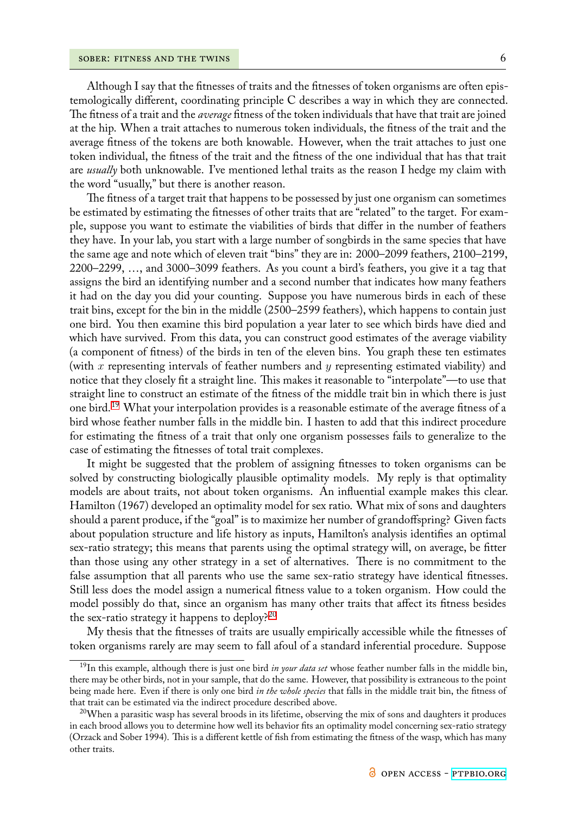Although I say that the fitnesses of traits and the fitnesses of token organisms are often epistemologically different, coordinating principle C describes a way in which they are connected. The fitness of a trait and the *average* fitness of the token individuals that have that trait are joined at the hip. When a trait attaches to numerous token individuals, the fitness of the trait and the average fitness of the tokens are both knowable. However, when the trait attaches to just one token individual, the fitness of the trait and the fitness of the one individual that has that trait are *usually* both unknowable. I've mentioned lethal traits as the reason I hedge my claim with the word "usually," but there is another reason.

The fitness of a target trait that happens to be possessed by just one organism can sometimes be estimated by estimating the fitnesses of other traits that are "related" to the target. For example, suppose you want to estimate the viabilities of birds that differ in the number of feathers they have. In your lab, you start with a large number of songbirds in the same species that have the same age and note which of eleven trait "bins" they are in: 2000–2099 feathers, 2100–2199, 2200–2299, …, and 3000–3099 feathers. As you count a bird's feathers, you give it a tag that assigns the bird an identifying number and a second number that indicates how many feathers it had on the day you did your counting. Suppose you have numerous birds in each of these trait bins, except for the bin in the middle (2500–2599 feathers), which happens to contain just one bird. You then examine this bird population a year later to see which birds have died and which have survived. From this data, you can construct good estimates of the average viability (a component of fitness) of the birds in ten of the eleven bins. You graph these ten estimates (with *x* representing intervals of feather numbers and *y* representing estimated viability) and notice that they closely fit a straight line. This makes it reasonable to "interpolate"—to use that straight line to construct an estimate of the fitness of the middle trait bin in which there is just one bird.<sup>19</sup> What your interpolation provides is a reasonable estimate of the average fitness of a bird whose feather number falls in the middle bin. I hasten to add that this indirect procedure for estimating the fitness of a trait that only one organism possesses fails to generalize to the case of e[sti](#page-5-0)mating the fitnesses of total trait complexes.

It might be suggested that the problem of assigning fitnesses to token organisms can be solved by constructing biologically plausible optimality models. My reply is that optimality models are about traits, not about token organisms. An influential example makes this clear. Hamilton (1967) developed an optimality model for sex ratio. What mix of sons and daughters should a parent produce, if the "goal" is to maximize her number of grandoffspring? Given facts about population structure and life history as inputs, Hamilton's analysis identifies an optimal sex-ratio strategy; this means that parents using the optimal strategy will, on average, be fitter than those using any other strategy in a set of alternatives. There is no commitment to the false assumption that all parents who use the same sex-ratio strategy have identical fitnesses. Still less does the model assign a numerical fitness value to a token organism. How could the model possibly do that, since an organism has many other traits that affect its fitness besides the sex-ratio strategy it happens to deploy? $2^{20}$ 

My thesis that the fitnesses of traits are usually empirically accessible while the fitnesses of token organisms rarely are may seem to fall afoul of a standard inferential procedure. Suppose

<sup>19</sup>In this example, although there is just one bird *[in](#page-5-1) your data set* whose feather number falls in the middle bin, there may be other birds, not in your sample, that do the same. However, that possibility is extraneous to the point being made here. Even if there is only one bird *in the whole species* that falls in the middle trait bin, the fitness of that trait can be estimated via the indirect procedure described above.

<span id="page-5-1"></span><span id="page-5-0"></span> $^{20}$ When a parasitic wasp has several broods in its lifetime, observing the mix of sons and daughters it produces in each brood allows you to determine how well its behavior fits an optimality model concerning sex-ratio strategy (Orzack and Sober 1994). This is a different kettle of fish from estimating the fitness of the wasp, which has many other traits.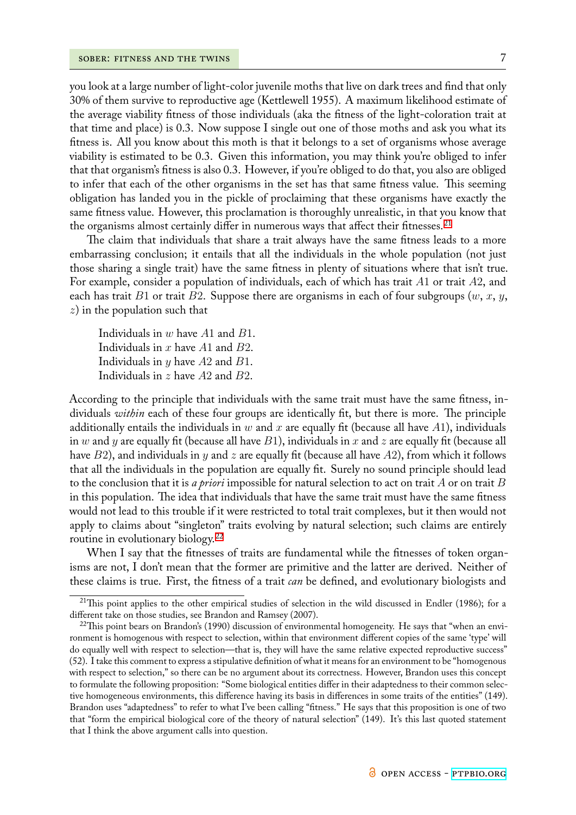you look at a large number of light-color juvenile moths that live on dark trees and find that only 30% of them survive to reproductive age (Kettlewell 1955). A maximum likelihood estimate of the average viability fitness of those individuals (aka the fitness of the light-coloration trait at that time and place) is 0.3. Now suppose I single out one of those moths and ask you what its fitness is. All you know about this moth is that it belongs to a set of organisms whose average viability is estimated to be 0.3. Given this information, you may think you're obliged to infer that that organism's fitness is also 0.3. However, if you're obliged to do that, you also are obliged to infer that each of the other organisms in the set has that same fitness value. This seeming obligation has landed you in the pickle of proclaiming that these organisms have exactly the same fitness value. However, this proclamation is thoroughly unrealistic, in that you know that the organisms almost certainly differ in numerous ways that affect their fitnesses.<sup>21</sup>

The claim that individuals that share a trait always have the same fitness leads to a more embarrassing conclusion; it entails that all the individuals in the whole population (not just those sharing a single trait) have the same fitness in plenty of situations where [th](#page-6-0)at isn't true. For example, consider a population of individuals, each of which has trait *A*1 or trait *A*2, and each has trait *B*1 or trait *B*2. Suppose there are organisms in each of four subgroups (*w*, *x*, *y*, *z*) in the population such that

Individuals in *w* have *A*1 and *B*1. Individuals in *x* have *A*1 and *B*2. Individuals in *y* have *A*2 and *B*1. Individuals in *z* have *A*2 and *B*2.

According to the principle that individuals with the same trait must have the same fitness, individuals *within* each of these four groups are identically fit, but there is more. The principle additionally entails the individuals in *w* and *x* are equally fit (because all have *A*1), individuals in *w* and *y* are equally fit (because all have *B*1), individuals in *x* and *z* are equally fit (because all have *B*2), and individuals in *y* and *z* are equally fit (because all have *A*2), from which it follows that all the individuals in the population are equally fit. Surely no sound principle should lead to the conclusion that it is *a priori* impossible for natural selection to act on trait *A* or on trait *B* in this population. The idea that individuals that have the same trait must have the same fitness would not lead to this trouble if it were restricted to total trait complexes, but it then would not apply to claims about "singleton" traits evolving by natural selection; such claims are entirely routine in evolutionary biology.<sup>22</sup>

When I say that the fitnesses of traits are fundamental while the fitnesses of token organisms are not, I don't mean that the former are primitive and the latter are derived. Neither of these claims is true. First, the [fitn](#page-6-1)ess of a trait *can* be defined, and evolutionary biologists and

 $^{21}$ This point applies to the other empirical studies of selection in the wild discussed in Endler (1986); for a different take on those studies, see Brandon and Ramsey (2007).

<span id="page-6-1"></span><span id="page-6-0"></span> $^{22}$ This point bears on Brandon's (1990) discussion of environmental homogeneity. He says that "when an environment is homogenous with respect to selection, within that environment different copies of the same 'type' will do equally well with respect to selection—that is, they will have the same relative expected reproductive success" (52). I take this comment to express a stipulative definition of what it means for an environment to be "homogenous with respect to selection," so there can be no argument about its correctness. However, Brandon uses this concept to formulate the following proposition: "Some biological entities differ in their adaptedness to their common selective homogeneous environments, this difference having its basis in differences in some traits of the entities" (149). Brandon uses "adaptedness" to refer to what I've been calling "fitness." He says that this proposition is one of two that "form the empirical biological core of the theory of natural selection" (149). It's this last quoted statement that I think the above argument calls into question.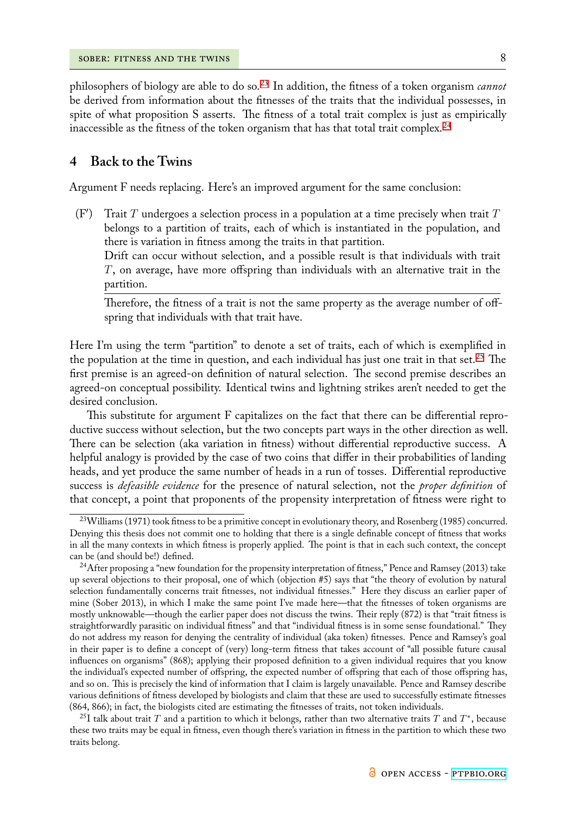philosophers of biology are able to do so.<sup>23</sup> In addition, the fitness of a token organism *cannot* be derived from information about the fitnesses of the traits that the individual possesses, in spite of what proposition S asserts. The fitness of a total trait complex is just as empirically inaccessible as the fitness of the token or[gan](#page-7-0)ism that has that total trait complex.<sup>24</sup>

### **4 Back to the Twins**

Argument F needs replacing. Here's an improved argument for the same conclusion:

(F*′* ) Trait *T* undergoes a selection process in a population at a time precisely when trait *T* belongs to a partition of traits, each of which is instantiated in the population, and there is variation in fitness among the traits in that partition.

Drift can occur without selection, and a possible result is that individuals with trait *T*, on average, have more offspring than individuals with an alternative trait in the partition.

Therefore, the fitness of a trait is not the same property as the average number of offspring that individuals with that trait have.

Here I'm using the term "partition" to denote a set of traits, each of which is exemplified in the population at the time in question, and each individual has just one trait in that set.<sup>25</sup> The first premise is an agreed-on definition of natural selection. The second premise describes an agreed-on conceptual possibility. Identical twins and lightning strikes aren't needed to get the desired conclusion.

This substitute for argument F capitalizes on the fact that there can be differential reproductive success without selection, but the two concepts part ways in the other direction as well. There can be selection (aka variation in fitness) without differential reproductive success. A helpful analogy is provided by the case of two coins that differ in their probabilities of landing heads, and yet produce the same number of heads in a run of tosses. Differential reproductive success is *defeasible evidence* for the presence of natural selection, not the *proper definition* of that concept, a point that proponents of the propensity interpretation of fitness were right to

 $^{25}$ I talk about trait  $T$  and a partition to which it belongs, rather than two alternative traits  $T$  and  $T^*,$  because these two traits may be equal in fitness, even though there's variation in fitness in the partition to which these two traits belong.

<sup>&</sup>lt;sup>23</sup>Williams (1971) took fitness to be a primitive concept in evolutionary theory, and Rosenberg (1985) concurred. Denying this thesis does not commit one to holding that there is a single definable concept of fitness that works in all the many contexts in which fitness is properly applied. The point is that in each such context, the concept can be (and should be!) defined.

<span id="page-7-0"></span><sup>&</sup>lt;sup>24</sup>After proposing a "new foundation for the propensity interpretation of fitness," Pence and Ramsey (2013) take up several objections to their proposal, one of which (objection #5) says that "the theory of evolution by natural selection fundamentally concerns trait fitnesses, not individual fitnesses." Here they discuss an earlier paper of mine (Sober 2013), in which I make the same point I've made here—that the fitnesses of token organisms are mostly unknowable—though the earlier paper does not discuss the twins. Their reply (872) is that "trait fitness is straightforwardly parasitic on individual fitness" and that "individual fitness is in some sense foundational." They do not address my reason for denying the centrality of individual (aka token) fitnesses. Pence and Ramsey's goal in their paper is to define a concept of (very) long-term fitness that takes account of "all possible future causal influences on organisms" (868); applying their proposed definition to a given individual requires that you know the individual's expected number of offspring, the expected number of offspring that each of those offspring has, and so on. This is precisely the kind of information that I claim is largely unavailable. Pence and Ramsey describe various definitions of fitness developed by biologists and claim that these are used to successfully estimate fitnesses (864, 866); in fact, the biologists cited are estimating the fitnesses of traits, not token individuals.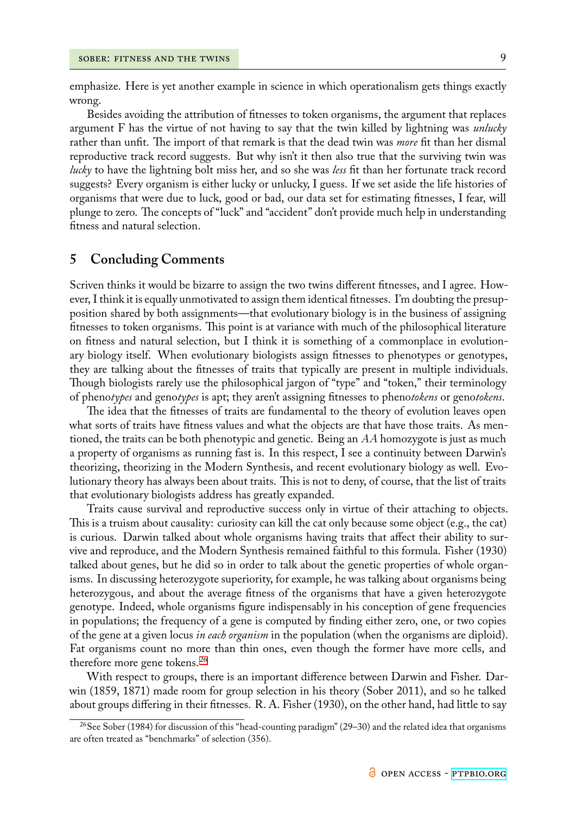emphasize. Here is yet another example in science in which operationalism gets things exactly wrong.

Besides avoiding the attribution of fitnesses to token organisms, the argument that replaces argument F has the virtue of not having to say that the twin killed by lightning was *unlucky* rather than unfit. The import of that remark is that the dead twin was *more* fit than her dismal reproductive track record suggests. But why isn't it then also true that the surviving twin was *lucky* to have the lightning bolt miss her, and so she was *less* fit than her fortunate track record suggests? Every organism is either lucky or unlucky, I guess. If we set aside the life histories of organisms that were due to luck, good or bad, our data set for estimating fitnesses, I fear, will plunge to zero. The concepts of "luck" and "accident" don't provide much help in understanding fitness and natural selection.

### **5 Concluding Comments**

Scriven thinks it would be bizarre to assign the two twins different fitnesses, and I agree. However, I think it is equally unmotivated to assign them identical fitnesses. I'm doubting the presupposition shared by both assignments—that evolutionary biology is in the business of assigning fitnesses to token organisms. This point is at variance with much of the philosophical literature on fitness and natural selection, but I think it is something of a commonplace in evolutionary biology itself. When evolutionary biologists assign fitnesses to phenotypes or genotypes, they are talking about the fitnesses of traits that typically are present in multiple individuals. Though biologists rarely use the philosophical jargon of "type" and "token," their terminology of pheno*types* and geno*types* is apt; they aren't assigning fitnesses to pheno*tokens* or geno*tokens*.

The idea that the fitnesses of traits are fundamental to the theory of evolution leaves open what sorts of traits have fitness values and what the objects are that have those traits. As mentioned, the traits can be both phenotypic and genetic. Being an *AA* homozygote is just as much a property of organisms as running fast is. In this respect, I see a continuity between Darwin's theorizing, theorizing in the Modern Synthesis, and recent evolutionary biology as well. Evolutionary theory has always been about traits. This is not to deny, of course, that the list of traits that evolutionary biologists address has greatly expanded.

Traits cause survival and reproductive success only in virtue of their attaching to objects. This is a truism about causality: curiosity can kill the cat only because some object (e.g., the cat) is curious. Darwin talked about whole organisms having traits that affect their ability to survive and reproduce, and the Modern Synthesis remained faithful to this formula. Fisher (1930) talked about genes, but he did so in order to talk about the genetic properties of whole organisms. In discussing heterozygote superiority, for example, he was talking about organisms being heterozygous, and about the average fitness of the organisms that have a given heterozygote genotype. Indeed, whole organisms figure indispensably in his conception of gene frequencies in populations; the frequency of a gene is computed by finding either zero, one, or two copies of the gene at a given locus *in each organism* in the population (when the organisms are diploid). Fat organisms count no more than thin ones, even though the former have more cells, and therefore more gene tokens.<sup>26</sup>

With respect to groups, there is an important difference between Darwin and Fisher. Darwin (1859, 1871) made room for group selection in his theory (Sober 2011), and so he talked about groups differing in th[eir](#page-8-0) fitnesses. R. A. Fisher (1930), on the other hand, had little to say

<span id="page-8-0"></span><sup>&</sup>lt;sup>26</sup>See Sober (1984) for discussion of this "head-counting paradigm" (29–30) and the related idea that organisms are often treated as "benchmarks" of selection (356).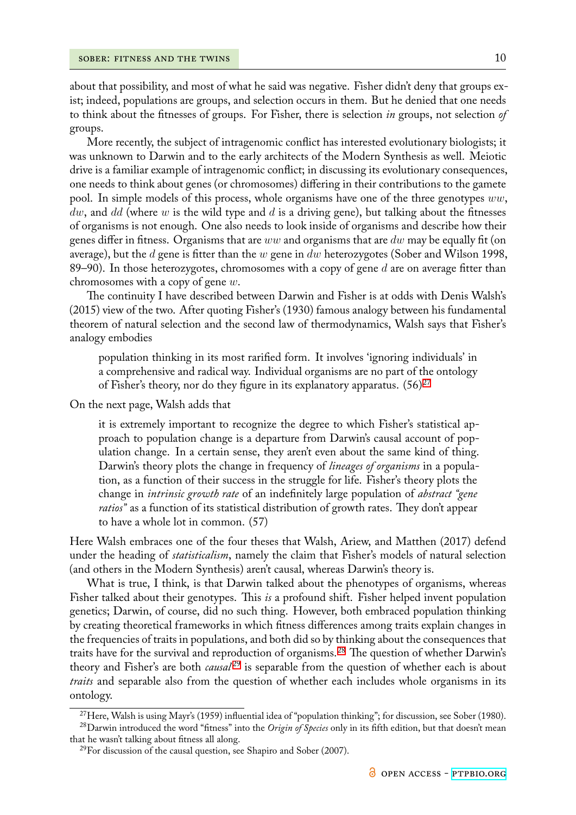about that possibility, and most of what he said was negative. Fisher didn't deny that groups exist; indeed, populations are groups, and selection occurs in them. But he denied that one needs to think about the fitnesses of groups. For Fisher, there is selection *in* groups, not selection *of* groups.

More recently, the subject of intragenomic conflict has interested evolutionary biologists; it was unknown to Darwin and to the early architects of the Modern Synthesis as well. Meiotic drive is a familiar example of intragenomic conflict; in discussing its evolutionary consequences, one needs to think about genes (or chromosomes) differing in their contributions to the gamete pool. In simple models of this process, whole organisms have one of the three genotypes *ww*, *dw*, and *dd* (where *w* is the wild type and *d* is a driving gene), but talking about the fitnesses of organisms is not enough. One also needs to look inside of organisms and describe how their genes differ in fitness. Organisms that are *ww* and organisms that are *dw* may be equally fit (on average), but the *d* gene is fitter than the *w* gene in *dw* heterozygotes (Sober and Wilson 1998, 89–90). In those heterozygotes, chromosomes with a copy of gene *d* are on average fitter than chromosomes with a copy of gene *w*.

The continuity I have described between Darwin and Fisher is at odds with Denis Walsh's (2015) view of the two. After quoting Fisher's (1930) famous analogy between his fundamental theorem of natural selection and the second law of thermodynamics, Walsh says that Fisher's analogy embodies

population thinking in its most rarified form. It involves 'ignoring individuals' in a comprehensive and radical way. Individual organisms are no part of the ontology of Fisher's theory, nor do they figure in its explanatory apparatus.  $(56)^{27}$ 

On the next page, Walsh adds that

it is extremely important to recognize the degree to which Fisher'ss[tat](#page-9-0)istical approach to population change is a departure from Darwin's causal account of population change. In a certain sense, they aren't even about the same kind of thing. Darwin's theory plots the change in frequency of *lineages of organisms* in a population, as a function of their success in the struggle for life. Fisher's theory plots the change in *intrinsic growth rate* of an indefinitely large population of *abstract "gene ratios"* as a function of its statistical distribution of growth rates. They don't appear to have a whole lot in common. (57)

Here Walsh embraces one of the four theses that Walsh, Ariew, and Matthen (2017) defend under the heading of *statisticalism*, namely the claim that Fisher's models of natural selection (and others in the Modern Synthesis) aren't causal, whereas Darwin's theory is.

What is true, I think, is that Darwin talked about the phenotypes of organisms, whereas Fisher talked about their genotypes. This *is* a profound shift. Fisher helped invent population genetics; Darwin, of course, did no such thing. However, both embraced population thinking by creating theoretical frameworks in which fitness differences among traits explain changes in the frequencies of traits in populations, and both did so by thinking about the consequences that traits have for the survival and reproduction of organisms.<sup>28</sup> The question of whether Darwin's theory and Fisher's are both *causal*<sup>29</sup> is separable from the question of whether each is about *traits* and separable also from the question of whether each includes whole organisms in its ontology.

<sup>&</sup>lt;sup>27</sup>Here, Walsh is using Mayr's (1959) in[flu](#page-9-1)ential idea of "population thinking"; for discussion, see Sober (1980).

<sup>28</sup>Darwin introduced the word "fitness" into the *Origin of Species* only in its fifth edition, but that doesn't mean that he wasn't talking about fitness all along.

<span id="page-9-1"></span><span id="page-9-0"></span> $^{29}$ For discussion of the causal question, see Shapiro and Sober (2007).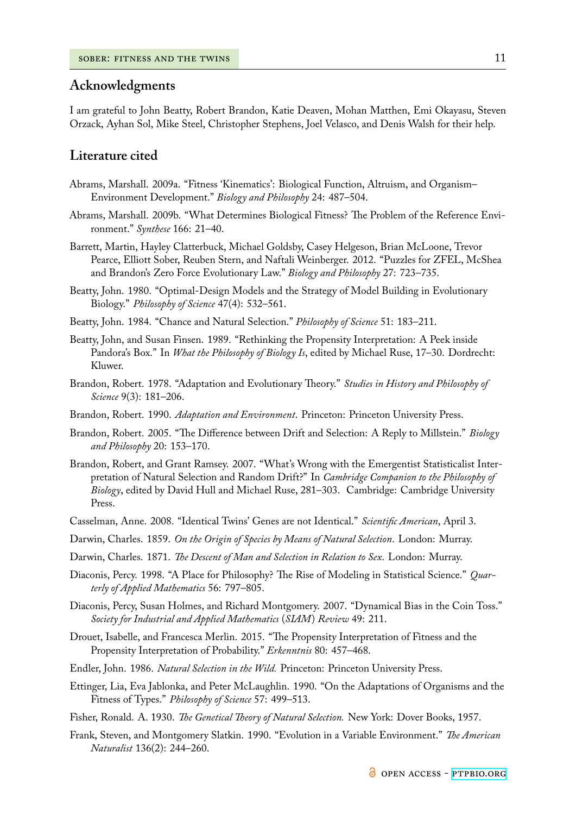### **Acknowledgments**

I am grateful to John Beatty, Robert Brandon, Katie Deaven, Mohan Matthen, Emi Okayasu, Steven Orzack, Ayhan Sol, Mike Steel, Christopher Stephens, Joel Velasco, and Denis Walsh for their help.

#### **Literature cited**

- Abrams, Marshall. 2009a. "Fitness 'Kinematics': Biological Function, Altruism, and Organism– Environment Development." *Biology and Philosophy* 24: 487–504.
- Abrams, Marshall. 2009b. "What Determines Biological Fitness? The Problem of the Reference Environment." *Synthese* 166: 21–40.
- Barrett, Martin, Hayley Clatterbuck, Michael Goldsby, Casey Helgeson, Brian McLoone, Trevor Pearce, Elliott Sober, Reuben Stern, and Naftali Weinberger. 2012. "Puzzles for ZFEL, McShea and Brandon's Zero Force Evolutionary Law." *Biology and Philosophy* 27: 723–735.
- Beatty, John. 1980. "Optimal-Design Models and the Strategy of Model Building in Evolutionary Biology." *Philosophy of Science* 47(4): 532–561.
- Beatty, John. 1984. "Chance and Natural Selection." *Philosophy of Science* 51: 183–211.
- Beatty, John, and Susan Finsen. 1989. "Rethinking the Propensity Interpretation: A Peek inside Pandora's Box." In *What the Philosophy of Biology Is*, edited by Michael Ruse, 17–30. Dordrecht: Kluwer.
- Brandon, Robert. 1978. "Adaptation and Evolutionary Theory." *Studies in History and Philosophy of Science* 9(3): 181–206.
- Brandon, Robert. 1990. *Adaptation and Environment*. Princeton: Princeton University Press.
- Brandon, Robert. 2005. "The Difference between Drift and Selection: A Reply to Millstein." *Biology and Philosophy* 20: 153–170.
- Brandon, Robert, and Grant Ramsey. 2007. "What's Wrong with the Emergentist Statisticalist Interpretation of Natural Selection and Random Drift?" In *Cambridge Companion to the Philosophy of Biology*, edited by David Hull and Michael Ruse, 281–303. Cambridge: Cambridge University Press.
- Casselman, Anne. 2008. "Identical Twins' Genes are not Identical." *Scientific American*, April 3.
- Darwin, Charles. 1859. *On the Origin of Species by Means of Natural Selection*. London: Murray.
- Darwin, Charles. 1871. *The Descent of Man and Selection in Relation to Sex*. London: Murray.
- Diaconis, Percy. 1998. "A Place for Philosophy? The Rise of Modeling in Statistical Science." *Quarterly of Applied Mathematics* 56: 797–805.
- Diaconis, Percy, Susan Holmes, and Richard Montgomery. 2007. "Dynamical Bias in the Coin Toss." *Society for Industrial and Applied Mathematics* (*SIAM*) *Review* 49: 211.
- Drouet, Isabelle, and Francesca Merlin. 2015. "The Propensity Interpretation of Fitness and the Propensity Interpretation of Probability." *Erkenntnis* 80: 457–468.
- Endler, John. 1986. *Natural Selection in the Wild.* Princeton: Princeton University Press.
- Ettinger, Lia, Eva Jablonka, and Peter McLaughlin. 1990. "On the Adaptations of Organisms and the Fitness of Types." *Philosophy of Science* 57: 499–513.
- Fisher, Ronald. A. 1930. *The Genetical Theory of Natural Selection.* New York: Dover Books, 1957.
- Frank, Steven, and Montgomery Slatkin. 1990. "Evolution in a Variable Environment." *The American Naturalist* 136(2): 244–260.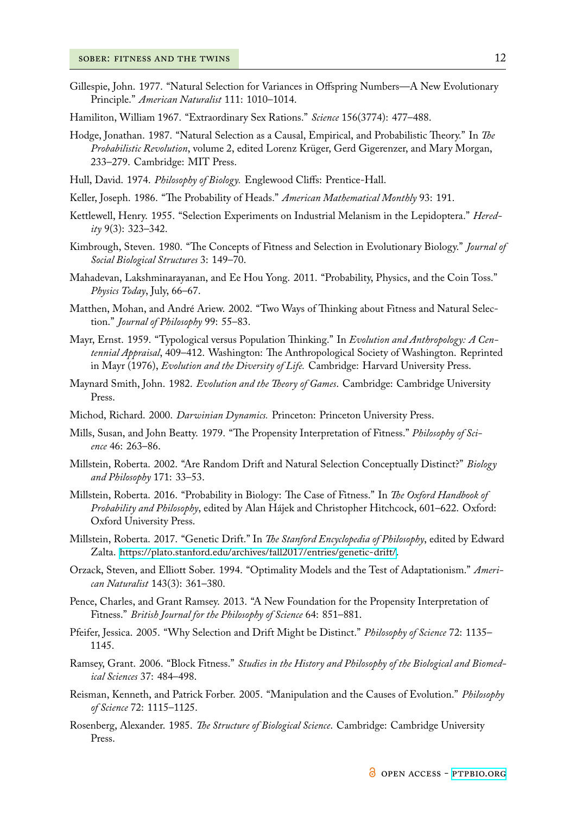- Gillespie, John. 1977. "Natural Selection for Variances in Offspring Numbers—A New Evolutionary Principle." *American Naturalist* 111: 1010–1014.
- Hamiliton, William 1967. "Extraordinary Sex Rations." *Science* 156(3774): 477–488.
- Hodge, Jonathan. 1987. "Natural Selection as a Causal, Empirical, and Probabilistic Theory." In *The Probabilistic Revolution*, volume 2, edited Lorenz Krüger, Gerd Gigerenzer, and Mary Morgan, 233–279. Cambridge: MIT Press.
- Hull, David. 1974. *Philosophy of Biology.* Englewood Cliffs: Prentice-Hall.
- Keller, Joseph. 1986. "The Probability of Heads." *American Mathematical Monthly* 93: 191.
- Kettlewell, Henry. 1955. "Selection Experiments on Industrial Melanism in the Lepidoptera." *Heredity* 9(3): 323–342.
- Kimbrough, Steven. 1980. "The Concepts of Fitness and Selection in Evolutionary Biology." *Journal of Social Biological Structures* 3: 149–70.
- Mahadevan, Lakshminarayanan, and Ee Hou Yong. 2011. "Probability, Physics, and the Coin Toss." *Physics Today*, July, 66–67.
- Matthen, Mohan, and André Ariew. 2002. "Two Ways of Thinking about Fitness and Natural Selection." *Journal of Philosophy* 99: 55–83.
- Mayr, Ernst. 1959. "Typological versus Population Thinking." In *Evolution and Anthropology: A Centennial Appraisal*, 409–412. Washington: The Anthropological Society of Washington. Reprinted in Mayr (1976), *Evolution and the Diversity of Life.* Cambridge: Harvard University Press.
- Maynard Smith, John. 1982. *Evolution and the Theory of Games*. Cambridge: Cambridge University Press.
- Michod, Richard. 2000. *Darwinian Dynamics.* Princeton: Princeton University Press.
- Mills, Susan, and John Beatty. 1979. "The Propensity Interpretation of Fitness." *Philosophy of Science* 46: 263–86.
- Millstein, Roberta. 2002. "Are Random Drift and Natural Selection Conceptually Distinct?" *Biology and Philosophy* 171: 33–53.
- Millstein, Roberta. 2016. "Probability in Biology: The Case of Fitness." In *The Oxford Handbook of Probability and Philosophy*, edited by Alan Hájek and Christopher Hitchcock, 601–622. Oxford: Oxford University Press.
- Millstein, Roberta. 2017. "Genetic Drift." In *The Stanford Encyclopedia of Philosophy*, edited by Edward Zalta. https://plato.stanford.edu/archives/fall2017/entries/genetic-drift/.
- Orzack, Steven, and Elliott Sober. 1994. "Optimality Models and the Test of Adaptationism." *American Naturalist* 143(3): 361–380.
- Pence, Cha[rles, and Grant Ramsey. 2013. "A New Foundation for the Propen](https://plato.stanford.edu/archives/fall2017/entries/genetic-drift/)sity Interpretation of Fitness." *British Journal for the Philosophy of Science* 64: 851–881.
- Pfeifer, Jessica. 2005. "Why Selection and Drift Might be Distinct." *Philosophy of Science* 72: 1135– 1145.
- Ramsey, Grant. 2006. "Block Fitness." *Studies in the History and Philosophy of the Biological and Biomedical Sciences* 37: 484–498.
- Reisman, Kenneth, and Patrick Forber. 2005. "Manipulation and the Causes of Evolution." *Philosophy of Science* 72: 1115–1125.
- Rosenberg, Alexander. 1985. *The Structure of Biological Science*. Cambridge: Cambridge University Press.